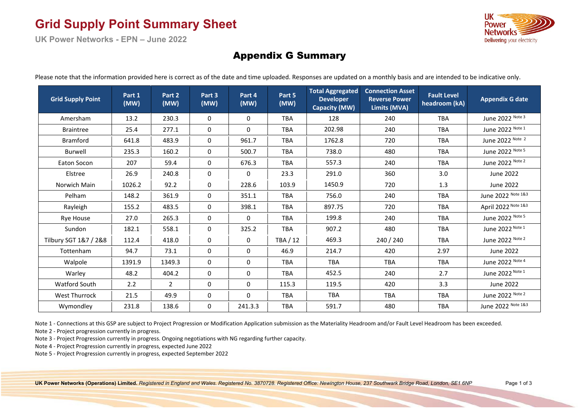# **Grid Supply Point Summary Sheet**

**UK Power Networks - EPN – June 2022** 



#### Appendix G Summary

Please note that the information provided here is correct as of the date and time uploaded. Responses are updated on a monthly basis and are intended to be indicative only.

| <b>Grid Supply Point</b> | Part 1<br>(MW) | Part 2<br>(MW) | Part 3<br>(MW) | Part 4<br>(MW) | Part 5<br>(MW) | <b>Total Aggregated</b><br><b>Developer</b><br><b>Capacity (MW)</b> | <b>Connection Asset</b><br><b>Reverse Power</b><br>Limits (MVA) | <b>Fault Level</b><br>headroom (kA) | <b>Appendix G date</b> |  |
|--------------------------|----------------|----------------|----------------|----------------|----------------|---------------------------------------------------------------------|-----------------------------------------------------------------|-------------------------------------|------------------------|--|
| Amersham                 | 13.2           | 230.3          | 0              | 0              | <b>TBA</b>     | 128                                                                 | 240                                                             | <b>TBA</b>                          | June 2022 Note 3       |  |
| <b>Braintree</b>         | 25.4           | 277.1          | 0              | $\mathbf 0$    | <b>TBA</b>     | 202.98                                                              | 240                                                             | <b>TBA</b>                          | June 2022 Note 1       |  |
| <b>Bramford</b>          | 641.8          | 483.9          | 0              | 961.7          | <b>TBA</b>     | 1762.8                                                              | 720                                                             | <b>TBA</b>                          | June 2022 Note 2       |  |
| Burwell                  | 235.3          | 160.2          | 0              | 500.7          | <b>TBA</b>     | 738.0                                                               | 480                                                             | <b>TBA</b>                          | June 2022 Note 5       |  |
| Eaton Socon              | 207            | 59.4           | 0              | 676.3          | <b>TBA</b>     | 557.3                                                               | 240                                                             | <b>TBA</b>                          | June 2022 Note 2       |  |
| Elstree                  | 26.9           | 240.8          | 0              | 0              | 23.3           | 291.0                                                               | 360                                                             | 3.0                                 | June 2022              |  |
| Norwich Main             | 1026.2         | 92.2           | 0              | 228.6          | 103.9          | 1450.9                                                              | 720                                                             | 1.3                                 | June 2022              |  |
| Pelham                   | 148.2          | 361.9          | 0              | 351.1          | <b>TBA</b>     | 756.0                                                               | 240                                                             | <b>TBA</b>                          | June 2022 Note 1&3     |  |
| Rayleigh                 | 155.2          | 483.5          | 0              | 398.1          | <b>TBA</b>     | 897.75                                                              | 720                                                             | <b>TBA</b>                          | April 2022 Note 1&3    |  |
| <b>Rye House</b>         | 27.0           | 265.3          | $\Omega$       | $\mathbf 0$    | <b>TBA</b>     | 199.8                                                               | 240                                                             | <b>TBA</b>                          | June 2022 Note 5       |  |
| Sundon                   | 182.1          | 558.1          | 0              | 325.2          | <b>TBA</b>     | 907.2                                                               | 480                                                             | <b>TBA</b>                          | June 2022 Note 1       |  |
| Tilbury SGT 1&7 / 2&8    | 112.4          | 418.0          | 0              | 0              | TBA / 12       | 469.3                                                               | 240 / 240                                                       | <b>TBA</b>                          | June 2022 Note 2       |  |
| Tottenham                | 94.7           | 73.1           | 0              | $\mathbf 0$    | 46.9           | 214.7                                                               | 420                                                             | 2.97                                | June 2022              |  |
| Walpole                  | 1391.9         | 1349.3         | 0              | $\mathbf 0$    | <b>TBA</b>     | <b>TBA</b>                                                          | <b>TBA</b>                                                      | <b>TBA</b>                          | June 2022 Note 4       |  |
| Warley                   | 48.2           | 404.2          | 0              | 0              | <b>TBA</b>     | 452.5                                                               | 240                                                             | 2.7                                 | June 2022 Note 1       |  |
| Watford South            | 2.2            | $\overline{2}$ | 0              | $\mathbf 0$    | 115.3          | 119.5                                                               | 420                                                             | 3.3                                 | <b>June 2022</b>       |  |
| <b>West Thurrock</b>     | 21.5           | 49.9           | 0              | 0              | <b>TBA</b>     | <b>TBA</b>                                                          | <b>TBA</b>                                                      | <b>TBA</b>                          | June 2022 Note 2       |  |
| Wymondley                | 231.8          | 138.6          | 0              | 241.3.3        | <b>TBA</b>     | 591.7                                                               | 480                                                             | <b>TBA</b>                          | June 2022 Note 1&3     |  |

Note 1 - Connections at this GSP are subject to Project Progression or Modification Application submission as the Materiality Headroom and/or Fault Level Headroom has been exceeded.

Note 2 - Project progression currently in progress.

Note 3 - Project Progression currently in progress. Ongoing negotiations with NG regarding further capacity.

Note 4 - Project Progression currently in progress, expected June 2022

Note 5 - Project Progression currently in progress, expected September 2022

**UK Power Networks (Operations) Limited.** *Registered in England and Wales. Registered No. 3870728. Registered Office: Newington House, 237 Southwark Bridge Road, London, SE1 6NP* Page 1 of 3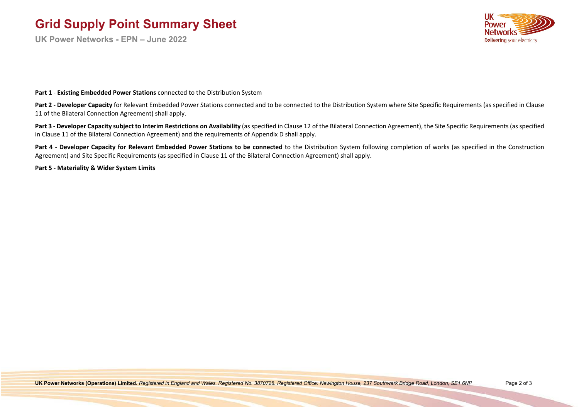# **Grid Supply Point Summary Sheet**

**UK Power Networks - EPN – June 2022**



**Part 1** - **Existing Embedded Power Stations** connected to the Distribution System

Part 2 - Developer Capacity for Relevant Embedded Power Stations connected and to be connected to the Distribution System where Site Specific Requirements (as specified in Clause 11 of the Bilateral Connection Agreement) shall apply.

**Part 3 - Developer Capacity subject to Interim Restrictions on Availability** (as specified in Clause 12 of the Bilateral Connection Agreement), the Site Specific Requirements (as specified in Clause 11 of the Bilateral Connection Agreement) and the requirements of Appendix D shall apply.

Part 4 - Developer Capacity for Relevant Embedded Power Stations to be connected to the Distribution System following completion of works (as specified in the Construction Agreement) and Site Specific Requirements (as specified in Clause 11 of the Bilateral Connection Agreement) shall apply.

**Part 5 - Materiality & Wider System Limits**